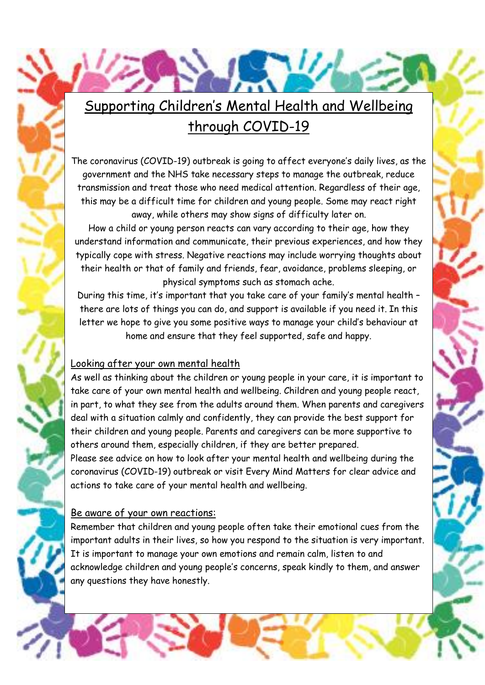# [Supporting Children's Mental Health and Wellbeing](https://www.google.co.uk/url?sa=i&url=https://www.clipart.email/clipart/handprint-clipart-border-74923.html&psig=AOvVaw1PJrAqFVKbWQLq2mXv41LY&ust=1585854546178000&source=images&cd=vfe&ved=0CAIQjRxqFwoTCPCj0NH2x-gCFQAAAAAdAAAAABAF)  through COVID-19

The coronavirus (COVID-19) outbreak is going to affect everyone's daily lives, as the government and the NHS take necessary steps to manage the outbreak, reduce transmission and treat those who need medical attention. Regardless of their age, this may be a difficult time for children and young people. Some may react right away, while others may show signs of difficulty later on.

How a child or young person reacts can vary according to their age, how they understand information and communicate, their previous experiences, and how they typically cope with stress. Negative reactions may include worrying thoughts about their health or that of family and friends, fear, avoidance, problems sleeping, or physical symptoms such as stomach ache.

During this time, it's important that you take care of your family's mental health – there are lots of things you can do, and support is available if you need it. In this letter we hope to give you some positive ways to manage your child's behaviour at home and ensure that they feel supported, safe and happy.

### Looking after your own mental health

As well as thinking about the children or young people in your care, it is important to take care of your own mental health and wellbeing. Children and young people react, in part, to what they see from the adults around them. When parents and caregivers deal with a situation calmly and confidently, they can provide the best support for their children and young people. Parents and caregivers can be more supportive to others around them, especially children, if they are better prepared.

Please see advice on how to look after your mental health and wellbeing during the coronavirus (COVID-19) outbreak or visit Every Mind Matters for clear advice and actions to take care of your mental health and wellbeing.

### Be aware of your own reactions:

Remember that children and young people often take their emotional cues from the important adults in their lives, so how you respond to the situation is very important. It is important to manage your own emotions and remain calm, listen to and acknowledge children and young people's concerns, speak kindly to them, and answer any questions they have honestly.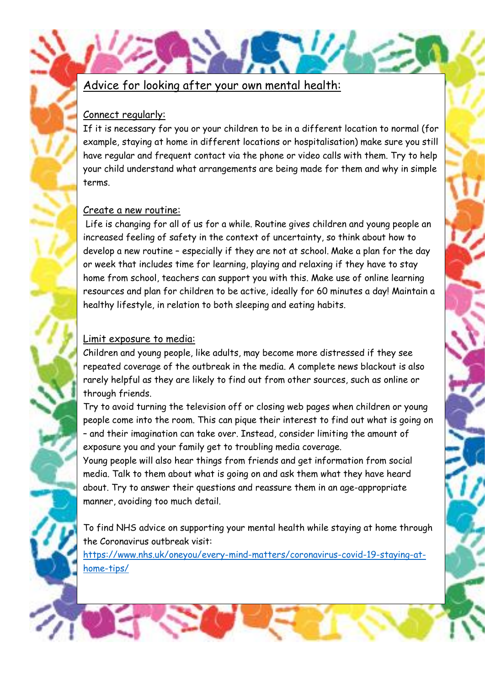### Advice for looking after your own mental health:

### Connect regularly:

[If it is necessary for you or your children to be in a different location to normal \(for](https://www.google.co.uk/url?sa=i&url=https://www.clipart.email/clipart/handprint-clipart-border-74923.html&psig=AOvVaw1PJrAqFVKbWQLq2mXv41LY&ust=1585854546178000&source=images&cd=vfe&ved=0CAIQjRxqFwoTCPCj0NH2x-gCFQAAAAAdAAAAABAF)  example, staying at home in different locations or hospitalisation) make sure you still have regular and frequent contact via the phone or video calls with them. Try to help your child understand what arrangements are being made for them and why in simple terms.

### Create a new routine:

Life is changing for all of us for a while. Routine gives children and young people an increased feeling of safety in the context of uncertainty, so think about how to develop a new routine – especially if they are not at school. Make a plan for the day or week that includes time for learning, playing and relaxing if they have to stay home from school, teachers can support you with this. Make use of online learning resources and plan for children to be active, ideally for 60 minutes a day! Maintain a healthy lifestyle, in relation to both sleeping and eating habits.

### Limit exposure to media:

Children and young people, like adults, may become more distressed if they see repeated coverage of the outbreak in the media. A complete news blackout is also rarely helpful as they are likely to find out from other sources, such as online or through friends.

Try to avoid turning the television off or closing web pages when children or young people come into the room. This can pique their interest to find out what is going on – and their imagination can take over. Instead, consider limiting the amount of exposure you and your family get to troubling media coverage.

Young people will also hear things from friends and get information from social media. Talk to them about what is going on and ask them what they have heard about. Try to answer their questions and reassure them in an age-appropriate manner, avoiding too much detail.

To find NHS advice on supporting your mental health while staying at home through the Coronavirus outbreak visit:

[https://www.nhs.uk/oneyou/every-mind-matters/coronavirus-covid-19-staying-at](https://www.nhs.uk/oneyou/every-mind-matters/coronavirus-covid-19-staying-at-home-tips/)[home-tips/](https://www.nhs.uk/oneyou/every-mind-matters/coronavirus-covid-19-staying-at-home-tips/)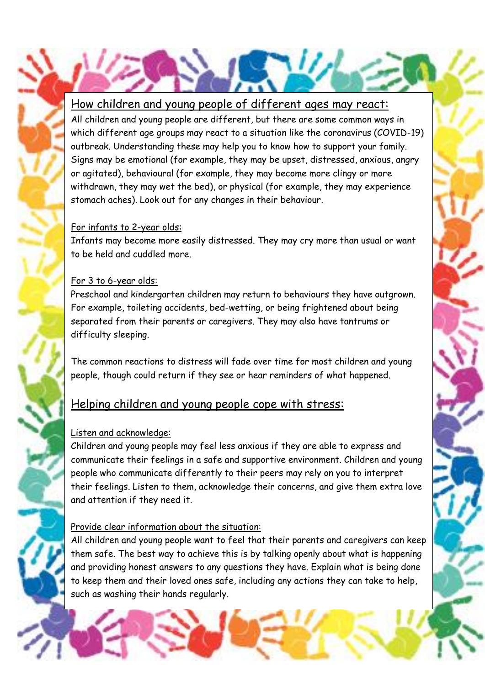### [How children and young people of different ages may react:](https://www.google.co.uk/url?sa=i&url=https://www.clipart.email/clipart/handprint-clipart-border-74923.html&psig=AOvVaw1PJrAqFVKbWQLq2mXv41LY&ust=1585854546178000&source=images&cd=vfe&ved=0CAIQjRxqFwoTCPCj0NH2x-gCFQAAAAAdAAAAABAF)

All children and young people are different, but there are some common ways in which different age groups may react to a situation like the coronavirus (COVID-19) outbreak. Understanding these may help you to know how to support your family. Signs may be emotional (for example, they may be upset, distressed, anxious, angry or agitated), behavioural (for example, they may become more clingy or more withdrawn, they may wet the bed), or physical (for example, they may experience stomach aches). Look out for any changes in their behaviour.

### For infants to 2-year olds:

Infants may become more easily distressed. They may cry more than usual or want to be held and cuddled more.

### For 3 to 6-year olds:

Preschool and kindergarten children may return to behaviours they have outgrown. For example, toileting accidents, bed-wetting, or being frightened about being separated from their parents or caregivers. They may also have tantrums or difficulty sleeping.

The common reactions to distress will fade over time for most children and young people, though could return if they see or hear reminders of what happened.

### Helping children and young people cope with stress:

### Listen and acknowledge:

Children and young people may feel less anxious if they are able to express and communicate their feelings in a safe and supportive environment. Children and young people who communicate differently to their peers may rely on you to interpret their feelings. Listen to them, acknowledge their concerns, and give them extra love and attention if they need it.

### Provide clear information about the situation:

All children and young people want to feel that their parents and caregivers can keep them safe. The best way to achieve this is by talking openly about what is happening and providing honest answers to any questions they have. Explain what is being done to keep them and their loved ones safe, including any actions they can take to help, such as washing their hands regularly.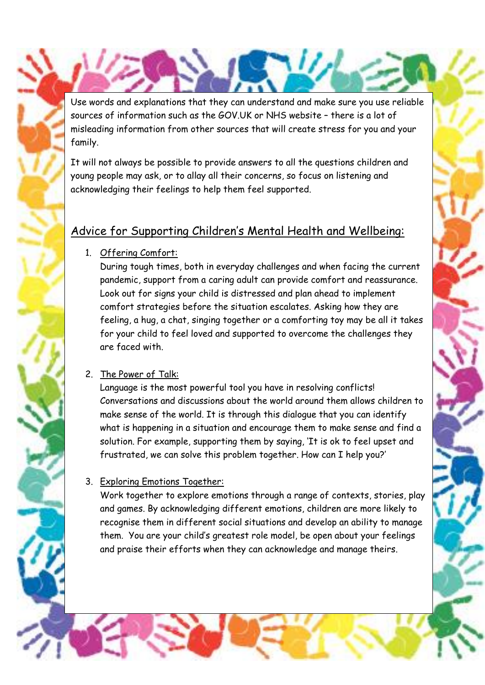[Use words and explanations that they can understand and make sure you use reliable](https://www.google.co.uk/url?sa=i&url=https://www.clipart.email/clipart/handprint-clipart-border-74923.html&psig=AOvVaw1PJrAqFVKbWQLq2mXv41LY&ust=1585854546178000&source=images&cd=vfe&ved=0CAIQjRxqFwoTCPCj0NH2x-gCFQAAAAAdAAAAABAF)  sources of information such as the GOV.UK or NHS website – there is a lot of misleading information from other sources that will create stress for you and your family.

It will not always be possible to provide answers to all the questions children and young people may ask, or to allay all their concerns, so focus on listening and acknowledging their feelings to help them feel supported.

## Advice for Supporting Children's Mental Health and Wellbeing:

1. Offering Comfort:

During tough times, both in everyday challenges and when facing the current pandemic, support from a caring adult can provide comfort and reassurance. Look out for signs your child is distressed and plan ahead to implement comfort strategies before the situation escalates. Asking how they are feeling, a hug, a chat, singing together or a comforting toy may be all it takes for your child to feel loved and supported to overcome the challenges they are faced with.

### 2. The Power of Talk:

Language is the most powerful tool you have in resolving conflicts! Conversations and discussions about the world around them allows children to make sense of the world. It is through this dialogue that you can identify what is happening in a situation and encourage them to make sense and find a solution. For example, supporting them by saying, 'It is ok to feel upset and frustrated, we can solve this problem together. How can I help you?'

### 3. Exploring Emotions Together:

Work together to explore emotions through a range of contexts, stories, play and games. By acknowledging different emotions, children are more likely to recognise them in different social situations and develop an ability to manage them. You are your child's greatest role model, be open about your feelings and praise their efforts when they can acknowledge and manage theirs.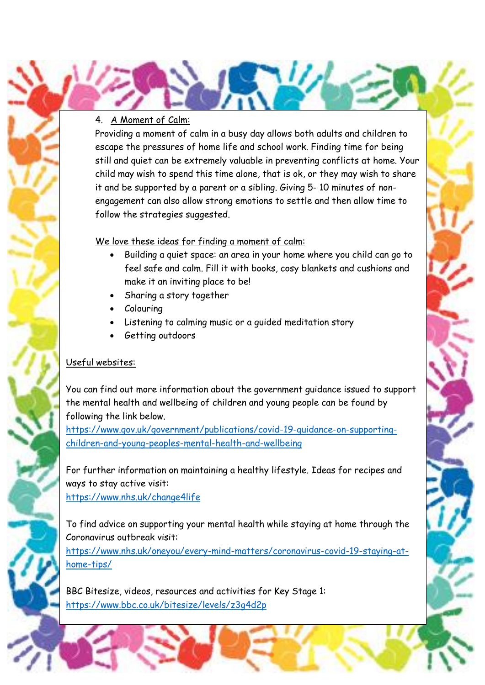### 4. A Moment of Calm:

Providing a moment of calm in a busy day allows both adults and children to escape the pressures of home life and school work. Finding time for being still and quiet can be extremely valuable in preventing conflicts at home. Your child may wish to spend this time alone, that is ok, or they may wish to share it and be supported by a parent or a sibling. Giving 5- 10 minutes of nonengagement can also allow strong emotions to settle and then allow time to follow the strategies suggested.

#### We love these ideas for finding a moment of calm:

- Building a quiet space: an area in your home where you child can go to feel safe and calm. Fill it with books, cosy blankets and cushions and make it an inviting place to be!
- Sharing a story together
- Colouring
- Listening to calming music or a guided meditation story
- Getting outdoors

### Useful websites:

[You can find out more information about the government guidance issued to support](https://www.google.co.uk/url?sa=i&url=https://www.clipart.email/clipart/handprint-clipart-border-74923.html&psig=AOvVaw1PJrAqFVKbWQLq2mXv41LY&ust=1585854546178000&source=images&cd=vfe&ved=0CAIQjRxqFwoTCPCj0NH2x-gCFQAAAAAdAAAAABAF)  the mental health and wellbeing of children and young people can be found by following the link below.

[https://www.gov.uk/government/publications/covid-19-guidance-on-supporting](https://www.gov.uk/government/publications/covid-19-guidance-on-supporting-children-and-young-peoples-mental-health-and-wellbeing)[children-and-young-peoples-mental-health-and-wellbeing](https://www.gov.uk/government/publications/covid-19-guidance-on-supporting-children-and-young-peoples-mental-health-and-wellbeing)

For further information on maintaining a healthy lifestyle. Ideas for recipes and ways to stay active visit: <https://www.nhs.uk/change4life>

To find advice on supporting your mental health while staying at home through the Coronavirus outbreak visit:

[https://www.nhs.uk/oneyou/every-mind-matters/coronavirus-covid-19-staying-at](https://www.nhs.uk/oneyou/every-mind-matters/coronavirus-covid-19-staying-at-home-tips/)[home-tips/](https://www.nhs.uk/oneyou/every-mind-matters/coronavirus-covid-19-staying-at-home-tips/)

BBC Bitesize, videos, resources and activities for Key Stage 1: <https://www.bbc.co.uk/bitesize/levels/z3g4d2p>